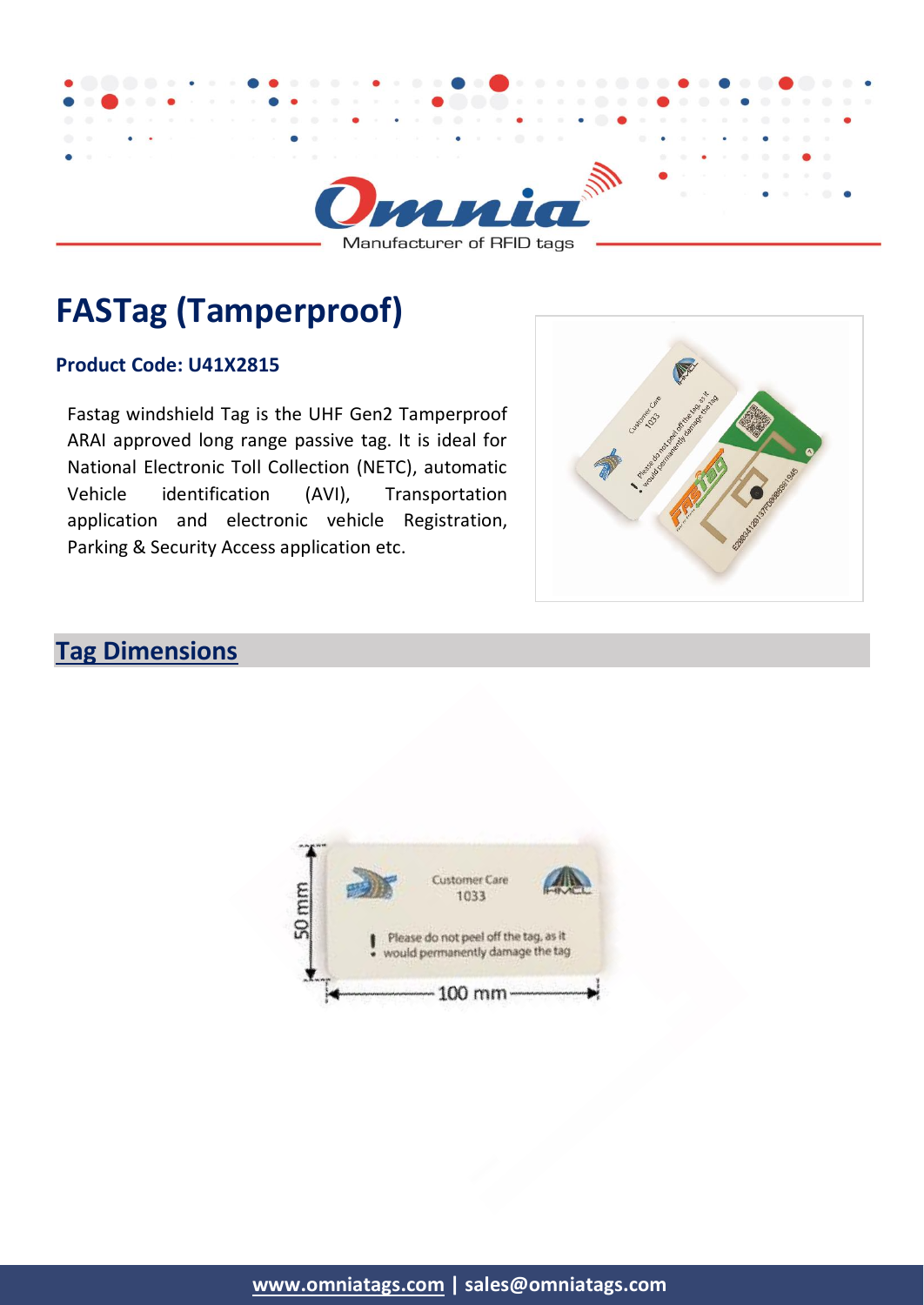

Manufacturer of RFID tags

# **FASTag (Tamperproof)**

#### **Product Code: U41X2815**

Fastag windshield Tag is the UHF Gen2 Tamperproof ARAI approved long range passive tag. It is ideal for National Electronic Toll Collection (NETC), automatic Vehicle identification (AVI), Transportation application and electronic vehicle Registration, Parking & Security Access application etc.



# **Tag Dimensions**

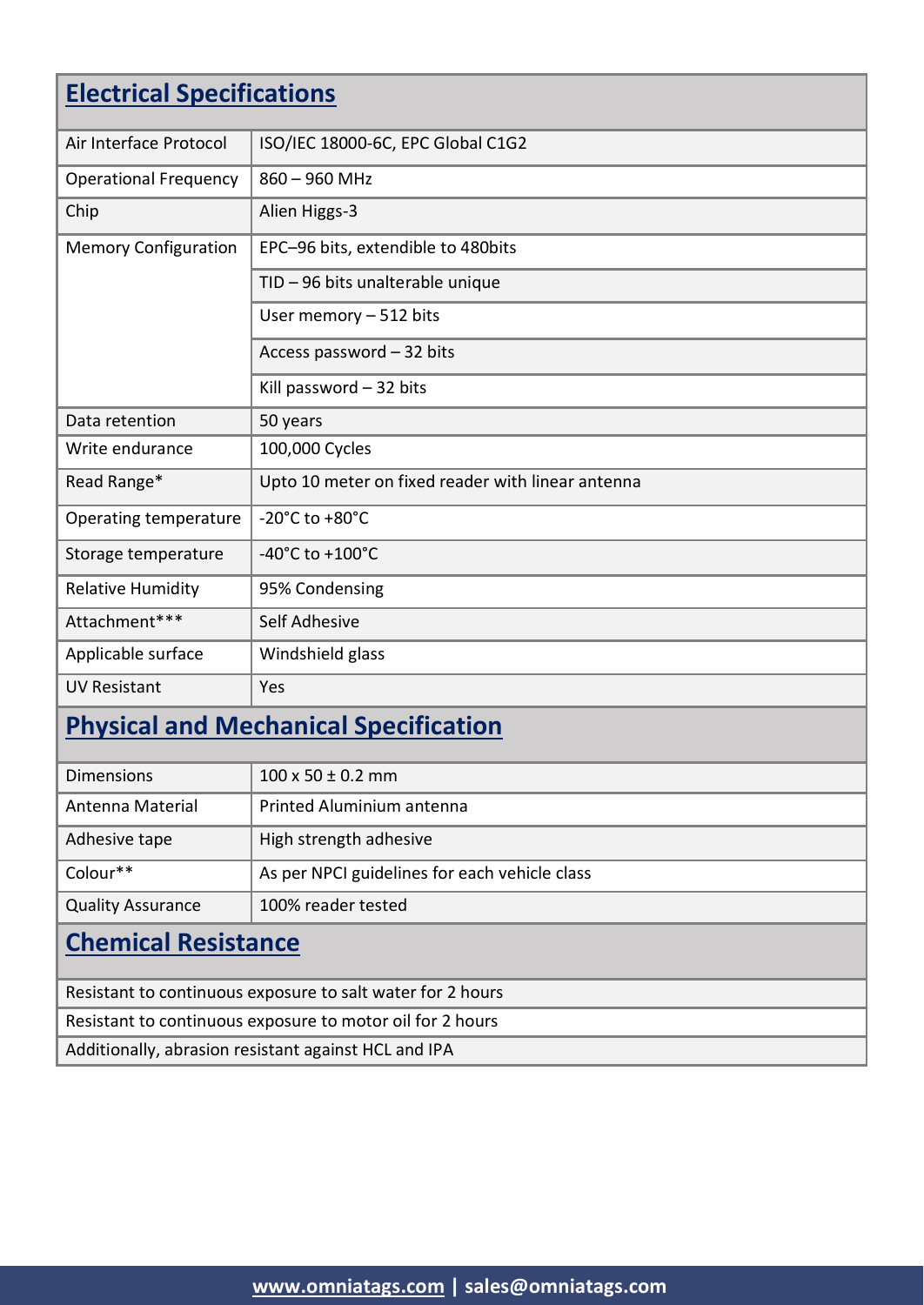| <b>Electrical Specifications</b>                           |                                                   |  |
|------------------------------------------------------------|---------------------------------------------------|--|
| Air Interface Protocol                                     | ISO/IEC 18000-6C, EPC Global C1G2                 |  |
| <b>Operational Frequency</b>                               | $860 - 960$ MHz                                   |  |
| Chip                                                       | Alien Higgs-3                                     |  |
| <b>Memory Configuration</b>                                | EPC-96 bits, extendible to 480bits                |  |
|                                                            | TID - 96 bits unalterable unique                  |  |
|                                                            | User memory $-512$ bits                           |  |
|                                                            | Access password - 32 bits                         |  |
|                                                            | Kill password $-32$ bits                          |  |
| Data retention                                             | 50 years                                          |  |
| Write endurance                                            | 100,000 Cycles                                    |  |
| Read Range*                                                | Upto 10 meter on fixed reader with linear antenna |  |
| Operating temperature                                      | -20 $^{\circ}$ C to +80 $^{\circ}$ C              |  |
| Storage temperature                                        | $-40^{\circ}$ C to $+100^{\circ}$ C               |  |
| Relative Humidity                                          | 95% Condensing                                    |  |
| Attachment***                                              | Self Adhesive                                     |  |
| Applicable surface                                         | Windshield glass                                  |  |
| <b>UV Resistant</b>                                        | Yes                                               |  |
| <b>Physical and Mechanical Specification</b>               |                                                   |  |
| <b>Dimensions</b>                                          | $100 \times 50 \pm 0.2$ mm                        |  |
| Antenna Material                                           | Printed Aluminium antenna                         |  |
| Adhesive tape                                              | High strength adhesive                            |  |
| Colour**                                                   | As per NPCI guidelines for each vehicle class     |  |
| <b>Quality Assurance</b>                                   | 100% reader tested                                |  |
| <b>Chemical Resistance</b>                                 |                                                   |  |
| Resistant to continuous exposure to salt water for 2 hours |                                                   |  |
| Resistant to continuous exposure to motor oil for 2 hours  |                                                   |  |
| Additionally, abrasion resistant against HCL and IPA       |                                                   |  |